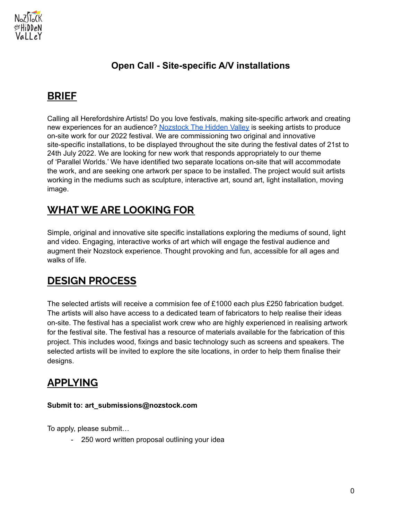

#### **Open Call - Site-specific A/V installations**

#### **BRIEF**

Calling all Herefordshire Artists! Do you love festivals, making site-specific artwork and creating new experiences for an audience? [Nozstock](http://www.nozstock.com) The Hidden Valley is seeking artists to produce on-site work for our 2022 festival. We are commissioning two original and innovative site-specific installations, to be displayed throughout the site during the festival dates of 21st to 24th July 2022. We are looking for new work that responds appropriately to our theme of 'Parallel Worlds.' We have identified two separate locations on-site that will accommodate the work, and are seeking one artwork per space to be installed. The project would suit artists working in the mediums such as sculpture, interactive art, sound art, light installation, moving image.

# **WHAT WE ARE LOOKING FOR**

Simple, original and innovative site specific installations exploring the mediums of sound, light and video. Engaging, interactive works of art which will engage the festival audience and augment their Nozstock experience. Thought provoking and fun, accessible for all ages and walks of life.

# **DESIGN PROCESS**

The selected artists will receive a commision fee of £1000 each plus £250 fabrication budget. The artists will also have access to a dedicated team of fabricators to help realise their ideas on-site. The festival has a specialist work crew who are highly experienced in realising artwork for the festival site. The festival has a resource of materials available for the fabrication of this project. This includes wood, fixings and basic technology such as screens and speakers. The selected artists will be invited to explore the site locations, in order to help them finalise their designs.

# **APPLYING**

#### **Submit to: art\_submissions@nozstock.com**

To apply, please submit…

- 250 word written proposal outlining your idea